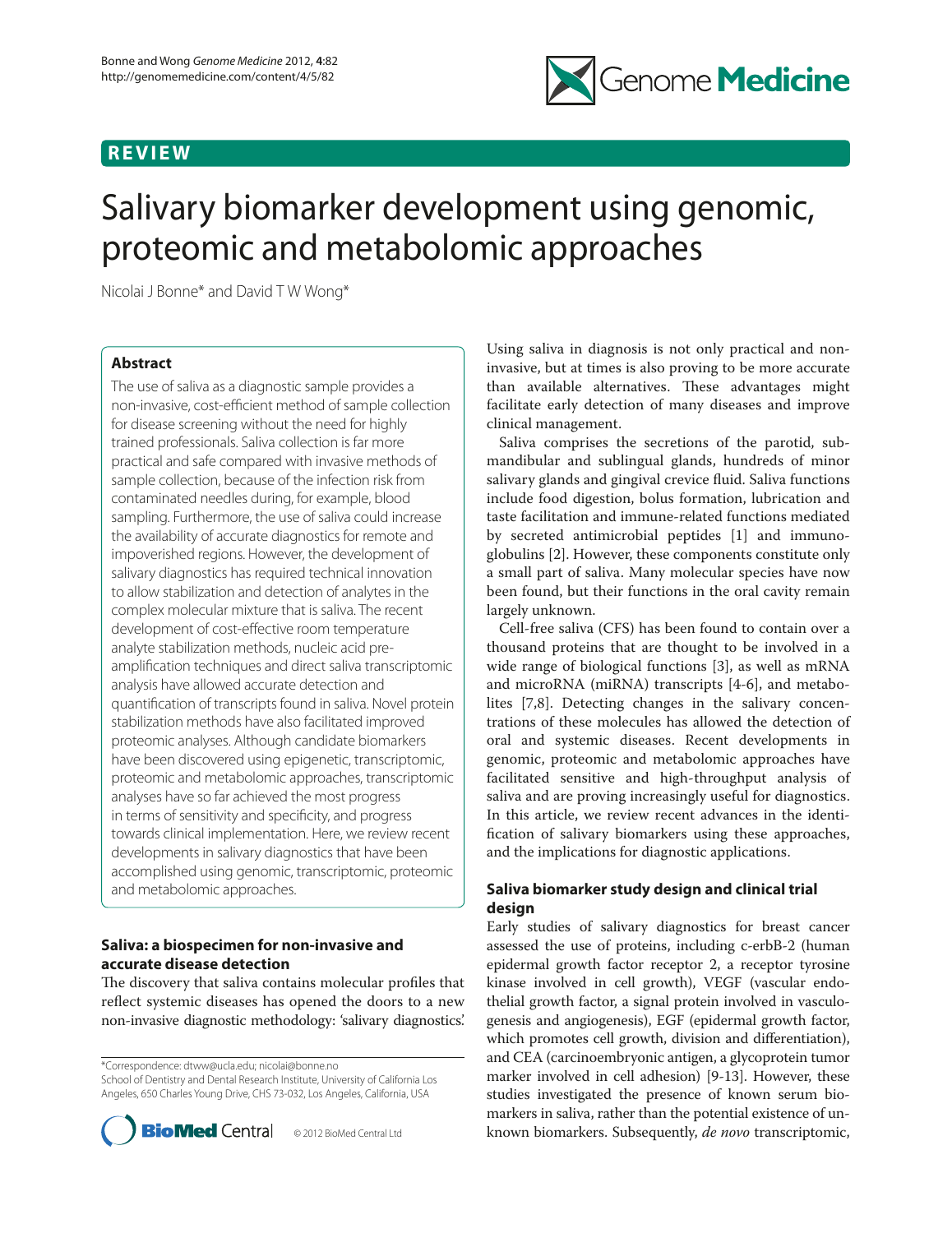# **R E V I E W**



# Salivary biomarker development using genomic, proteomic and metabolomic approaches

Nicolai J Bonne\* and David T W Wong\*

# **Abstract**

The use of saliva as a diagnostic sample provides a non-invasive, cost-efficient method of sample collection for disease screening without the need for highly trained professionals. Saliva collection is far more practical and safe compared with invasive methods of sample collection, because of the infection risk from contaminated needles during, for example, blood sampling. Furthermore, the use of saliva could increase the availability of accurate diagnostics for remote and impoverished regions. However, the development of salivary diagnostics has required technical innovation to allow stabilization and detection of analytes in the complex molecular mixture that is saliva. The recent development of cost-effective room temperature analyte stabilization methods, nucleic acid preamplification techniques and direct saliva transcriptomic analysis have allowed accurate detection and quantification of transcripts found in saliva. Novel protein stabilization methods have also facilitated improved proteomic analyses. Although candidate biomarkers have been discovered using epigenetic, transcriptomic, proteomic and metabolomic approaches, transcriptomic analyses have so far achieved the most progress in terms of sensitivity and specificity, and progress towards clinical implementation. Here, we review recent developments in salivary diagnostics that have been accomplished using genomic, transcriptomic, proteomic and metabolomic approaches.

# **Saliva: a biospecimen for non-invasive and accurate disease detection**

The discovery that saliva contains molecular profiles that reflect systemic diseases has opened the doors to a new non-invasive diagnostic methodology: 'salivary diagnostics'.

\*Correspondence: dtww@ucla.edu; nicolai@bonne.no School of Dentistry and Dental Research Institute, University of California Los Angeles, 650 Charles Young Drive, CHS 73-032, Los Angeles, California, USA



Using saliva in diagnosis is not only practical and noninvasive, but at times is also proving to be more accurate than available alternatives. These advantages might facilitate early detection of many diseases and improve clinical management.

Saliva comprises the secretions of the parotid, submandibular and sublingual glands, hundreds of minor salivary glands and gingival crevice fluid. Saliva functions include food digestion, bolus formation, lubrication and taste facilitation and immune‑related functions mediated by secreted antimicrobial peptides [1] and immunoglobulins [2]. However, these components constitute only a small part of saliva. Many molecular species have now been found, but their functions in the oral cavity remain largely unknown.

Cell‑free saliva (CFS) has been found to contain over a thousand proteins that are thought to be involved in a wide range of biological functions [3], as well as mRNA and microRNA (miRNA) transcripts [4-6], and metabolites [7,8]. Detecting changes in the salivary concentrations of these molecules has allowed the detection of oral and systemic diseases. Recent developments in genomic, proteomic and metabolomic approaches have facilitated sensitive and high-throughput analysis of saliva and are proving increasingly useful for diagnostics. In this article, we review recent advances in the identification of salivary biomarkers using these approaches, and the implications for diagnostic applications.

# **Saliva biomarker study design and clinical trial design**

Early studies of salivary diagnostics for breast cancer assessed the use of proteins, including c-erbB-2 (human epidermal growth factor receptor 2, a receptor tyrosine kinase involved in cell growth), VEGF (vascular endothelial growth factor, a signal protein involved in vasculogenesis and angiogenesis), EGF (epidermal growth factor, which promotes cell growth, division and differentiation), and CEA (carcinoembryonic antigen, a glycoprotein tumor marker involved in cell adhesion) [9‑13]. However, these studies investigated the presence of known serum biomarkers in saliva, rather than the potential existence of unknown biomarkers. Subsequently, *de novo* transcriptomic,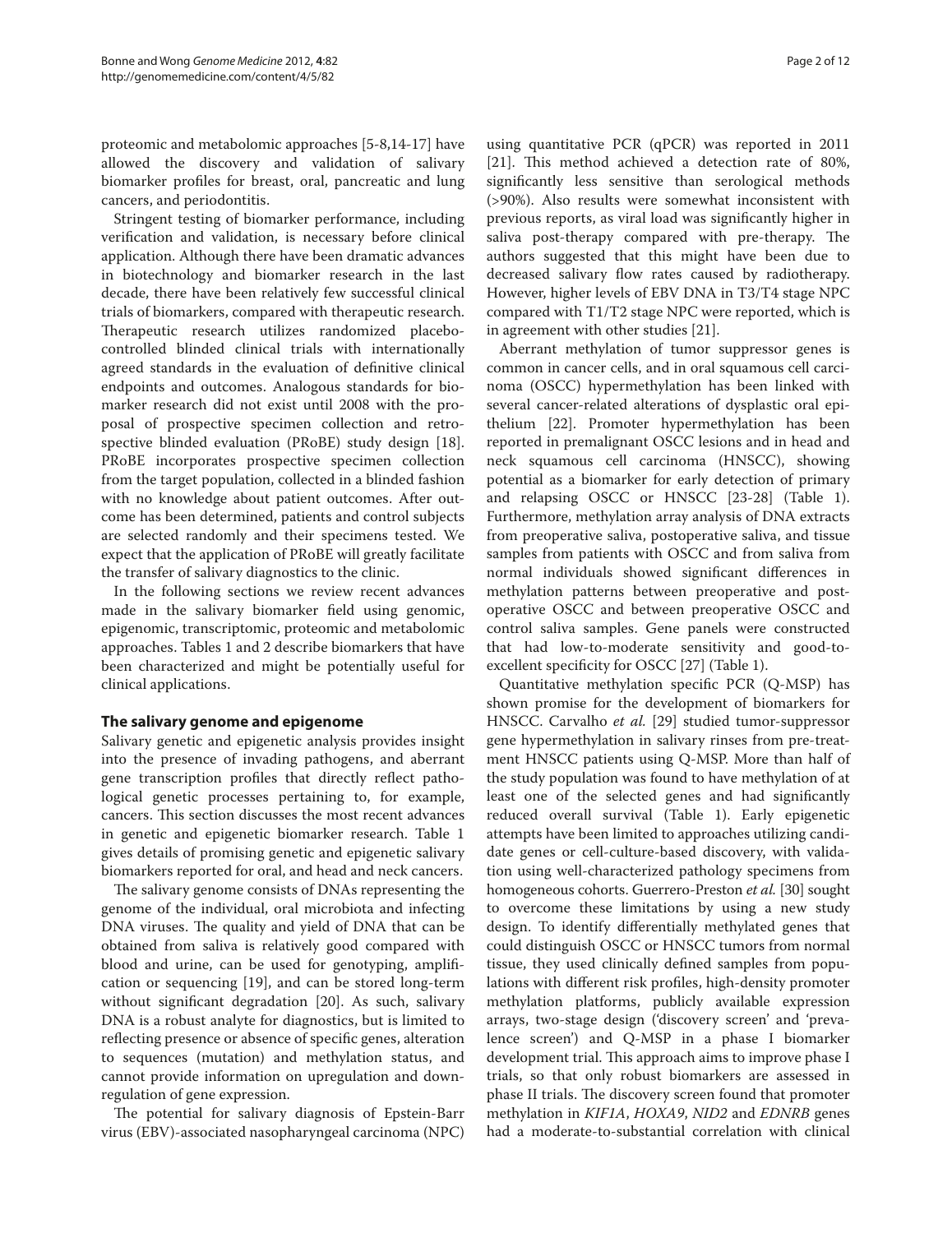proteomic and metabolomic approaches [5‑8,14-17] have allowed the discovery and validation of salivary biomarker profiles for breast, oral, pancreatic and lung cancers, and periodontitis.

Stringent testing of biomarker performance, including verification and validation, is necessary before clinical application. Although there have been dramatic advances in biotechnology and biomarker research in the last decade, there have been relatively few successful clinical trials of biomarkers, compared with therapeutic research. Therapeutic research utilizes randomized placebocontrolled blinded clinical trials with internationally agreed standards in the evaluation of definitive clinical endpoints and outcomes. Analogous standards for biomarker research did not exist until 2008 with the proposal of prospective specimen collection and retrospective blinded evaluation (PRoBE) study design [18]. PRoBE incorporates prospective specimen collection from the target population, collected in a blinded fashion with no knowledge about patient outcomes. After outcome has been determined, patients and control subjects are selected randomly and their specimens tested. We expect that the application of PRoBE will greatly facilitate the transfer of salivary diagnostics to the clinic.

In the following sections we review recent advances made in the salivary biomarker field using genomic, epigenomic, transcriptomic, proteomic and metabolomic approaches. Tables 1 and 2 describe biomarkers that have been characterized and might be potentially useful for clinical applications.

# **The salivary genome and epigenome**

Salivary genetic and epigenetic analysis provides insight into the presence of invading pathogens, and aberrant gene transcription profiles that directly reflect pathological genetic processes pertaining to, for example, cancers. This section discusses the most recent advances in genetic and epigenetic biomarker research. Table 1 gives details of promising genetic and epigenetic salivary biomarkers reported for oral, and head and neck cancers.

The salivary genome consists of DNAs representing the genome of the individual, oral microbiota and infecting DNA viruses. The quality and yield of DNA that can be obtained from saliva is relatively good compared with blood and urine, can be used for genotyping, amplification or sequencing [19], and can be stored long-term without significant degradation [20]. As such, salivary DNA is a robust analyte for diagnostics, but is limited to reflecting presence or absence of specific genes, alteration to sequences (mutation) and methylation status, and cannot provide information on upregulation and downregulation of gene expression.

The potential for salivary diagnosis of Epstein-Barr virus (EBV)-associated nasopharyngeal carcinoma (NPC)

using quantitative PCR (qPCR) was reported in 2011 [21]. This method achieved a detection rate of 80%, significantly less sensitive than serological methods (>90%). Also results were somewhat inconsistent with previous reports, as viral load was significantly higher in saliva post-therapy compared with pre-therapy. The authors suggested that this might have been due to decreased salivary flow rates caused by radiotherapy. However, higher levels of EBV DNA in T3/T4 stage NPC compared with T1/T2 stage NPC were reported, which is in agreement with other studies [21].

Aberrant methylation of tumor suppressor genes is common in cancer cells, and in oral squamous cell carcinoma (OSCC) hypermethylation has been linked with several cancer-related alterations of dysplastic oral epithelium [22]. Promoter hypermethylation has been reported in premalignant OSCC lesions and in head and neck squamous cell carcinoma (HNSCC), showing potential as a biomarker for early detection of primary and relapsing OSCC or HNSCC [23-28] (Table 1). Furthermore, methylation array analysis of DNA extracts from preoperative saliva, postoperative saliva, and tissue samples from patients with OSCC and from saliva from normal individuals showed significant differences in methylation patterns between preoperative and postoperative OSCC and between preoperative OSCC and control saliva samples. Gene panels were constructed that had low-to-moderate sensitivity and good-toexcellent specificity for OSCC [27] (Table 1).

Quantitative methylation specific PCR (Q-MSP) has shown promise for the development of biomarkers for HNSCC. Carvalho *et al.* [29] studied tumor-suppressor gene hypermethylation in salivary rinses from pre-treatment HNSCC patients using Q-MSP. More than half of the study population was found to have methylation of at least one of the selected genes and had significantly reduced overall survival (Table 1). Early epigenetic attempts have been limited to approaches utilizing candidate genes or cell-culture-based discovery, with validation using well-characterized pathology specimens from homogeneous cohorts. Guerrero-Preston *et al.* [30] sought to overcome these limitations by using a new study design. To identify differentially methylated genes that could distinguish OSCC or HNSCC tumors from normal tissue, they used clinically defined samples from populations with different risk profiles, high-density promoter methylation platforms, publicly available expression arrays, two-stage design ('discovery screen' and 'prevalence screen') and Q-MSP in a phase I biomarker development trial. This approach aims to improve phase I trials, so that only robust biomarkers are assessed in phase II trials. The discovery screen found that promoter methylation in *KIF1A*, *HOXA9*, *NID2* and *EDNRB* genes had a moderate-to-substantial correlation with clinical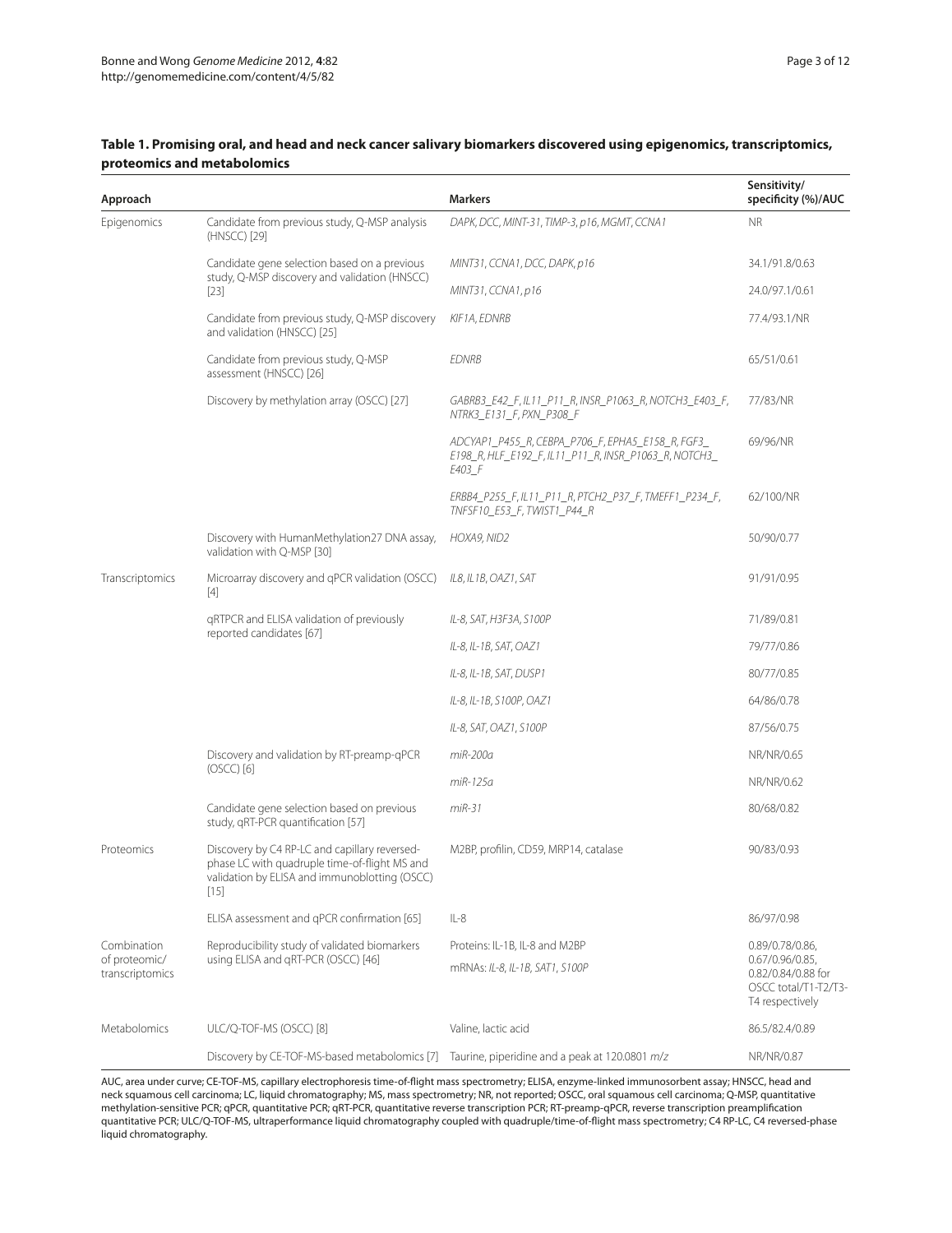| Approach                                        |                                                                                                                                                           | <b>Markers</b>                                                                                                       | Sensitivity/<br>specificity (%)/AUC                                                                |
|-------------------------------------------------|-----------------------------------------------------------------------------------------------------------------------------------------------------------|----------------------------------------------------------------------------------------------------------------------|----------------------------------------------------------------------------------------------------|
| Epigenomics                                     | Candidate from previous study, Q-MSP analysis<br>(HNSCC) [29]                                                                                             | DAPK, DCC, MINT-31, TIMP-3, p16, MGMT, CCNA1                                                                         | <b>NR</b>                                                                                          |
|                                                 | Candidate gene selection based on a previous<br>study, Q-MSP discovery and validation (HNSCC)<br>$[23]$                                                   | MINT31, CCNA1, DCC, DAPK, p16                                                                                        | 34.1/91.8/0.63                                                                                     |
|                                                 |                                                                                                                                                           | MINT31, CCNA1, p16                                                                                                   | 24.0/97.1/0.61                                                                                     |
|                                                 | Candidate from previous study, Q-MSP discovery<br>and validation (HNSCC) [25]                                                                             | KIF1A, EDNRB                                                                                                         | 77.4/93.1/NR                                                                                       |
|                                                 | Candidate from previous study, Q-MSP<br>assessment (HNSCC) [26]                                                                                           | <b>EDNRB</b>                                                                                                         | 65/51/0.61                                                                                         |
|                                                 | Discovery by methylation array (OSCC) [27]                                                                                                                | GABRB3_E42_F, IL11_P11_R, INSR_P1063_R, NOTCH3_E403_F,<br>NTRK3_E131_F, PXN_P308_F                                   | 77/83/NR                                                                                           |
|                                                 |                                                                                                                                                           | ADCYAP1_P455_R, CEBPA_P706_F, EPHA5_E158_R, FGF3_<br>E198_R, HLF_E192_F, IL11_P11_R, INSR_P1063_R, NOTCH3_<br>E403 F | 69/96/NR                                                                                           |
|                                                 |                                                                                                                                                           | ERBB4_P255_F, IL11_P11_R, PTCH2_P37_F, TMEFF1_P234_F,<br>TNFSF10 E53 F, TWIST1 P44 R                                 | 62/100/NR                                                                                          |
|                                                 | Discovery with HumanMethylation27 DNA assay,<br>validation with Q-MSP [30]                                                                                | HOXA9, NID2                                                                                                          | 50/90/0.77                                                                                         |
| Transcriptomics                                 | Microarray discovery and qPCR validation (OSCC)<br>$[4]$                                                                                                  | IL8, IL1B, OAZ1, SAT                                                                                                 | 91/91/0.95                                                                                         |
|                                                 | gRTPCR and ELISA validation of previously<br>reported candidates [67]                                                                                     | IL-8, SAT, H3F3A, S100P                                                                                              | 71/89/0.81                                                                                         |
|                                                 |                                                                                                                                                           | IL-8, IL-1B, SAT, OAZ1                                                                                               | 79/77/0.86                                                                                         |
|                                                 |                                                                                                                                                           | IL-8, IL-1B, SAT, DUSP1                                                                                              | 80/77/0.85                                                                                         |
|                                                 |                                                                                                                                                           | IL-8, IL-1B, S100P, OAZ1                                                                                             | 64/86/0.78                                                                                         |
|                                                 |                                                                                                                                                           | IL-8, SAT, OAZ1, S100P                                                                                               | 87/56/0.75                                                                                         |
|                                                 | Discovery and validation by RT-preamp-qPCR<br>$(OSCC)$ $[6]$                                                                                              | miR-200a                                                                                                             | NR/NR/0.65                                                                                         |
|                                                 |                                                                                                                                                           | miR-125a                                                                                                             | NR/NR/0.62                                                                                         |
|                                                 | Candidate gene selection based on previous<br>study, qRT-PCR quantification [57]                                                                          | $miR-31$                                                                                                             | 80/68/0.82                                                                                         |
| Proteomics                                      | Discovery by C4 RP-LC and capillary reversed-<br>phase LC with quadruple time-of-flight MS and<br>validation by ELISA and immunobiotting (OSCC)<br>$[15]$ | M2BP, profilin, CD59, MRP14, catalase                                                                                | 90/83/0.93                                                                                         |
|                                                 | ELISA assessment and qPCR confirmation [65]                                                                                                               | $IL-8$                                                                                                               | 86/97/0.98                                                                                         |
| Combination<br>of proteomic/<br>transcriptomics | Reproducibility study of validated biomarkers<br>using ELISA and gRT-PCR (OSCC) [46]                                                                      | Proteins: IL-1B, IL-8 and M2BP                                                                                       | 0.89/0.78/0.86<br>0.67/0.96/0.85,<br>0.82/0.84/0.88 for<br>OSCC total/T1-T2/T3-<br>T4 respectively |
|                                                 |                                                                                                                                                           | mRNAs: IL-8, IL-1B, SAT1, S100P                                                                                      |                                                                                                    |
| Metabolomics                                    | ULC/Q-TOF-MS (OSCC) [8]                                                                                                                                   | Valine, lactic acid                                                                                                  | 86.5/82.4/0.89                                                                                     |
|                                                 | Discovery by CE-TOF-MS-based metabolomics [7] Taurine, piperidine and a peak at 120.0801 m/z                                                              |                                                                                                                      | NR/NR/0.87                                                                                         |

# **Table 1. Promising oral, and head and neck cancer salivary biomarkers discovered using epigenomics, transcriptomics, proteomics and metabolomics**

AUC, area under curve; CE-TOF-MS, capillary electrophoresis time-of-flight mass spectrometry; ELISA, enzyme-linked immunosorbent assay; HNSCC, head and neck squamous cell carcinoma; LC, liquid chromatography; MS, mass spectrometry; NR, not reported; OSCC, oral squamous cell carcinoma; Q-MSP, quantitative methylation-sensitive PCR; qPCR, quantitative PCR; qRT-PCR, quantitative reverse transcription PCR; RT-preamp-qPCR, reverse transcription preamplification quantitative PCR; ULC/Q-TOF-MS, ultraperformance liquid chromatography coupled with quadruple/time-of-flight mass spectrometry; C4 RP-LC, C4 reversed-phase liquid chromatography.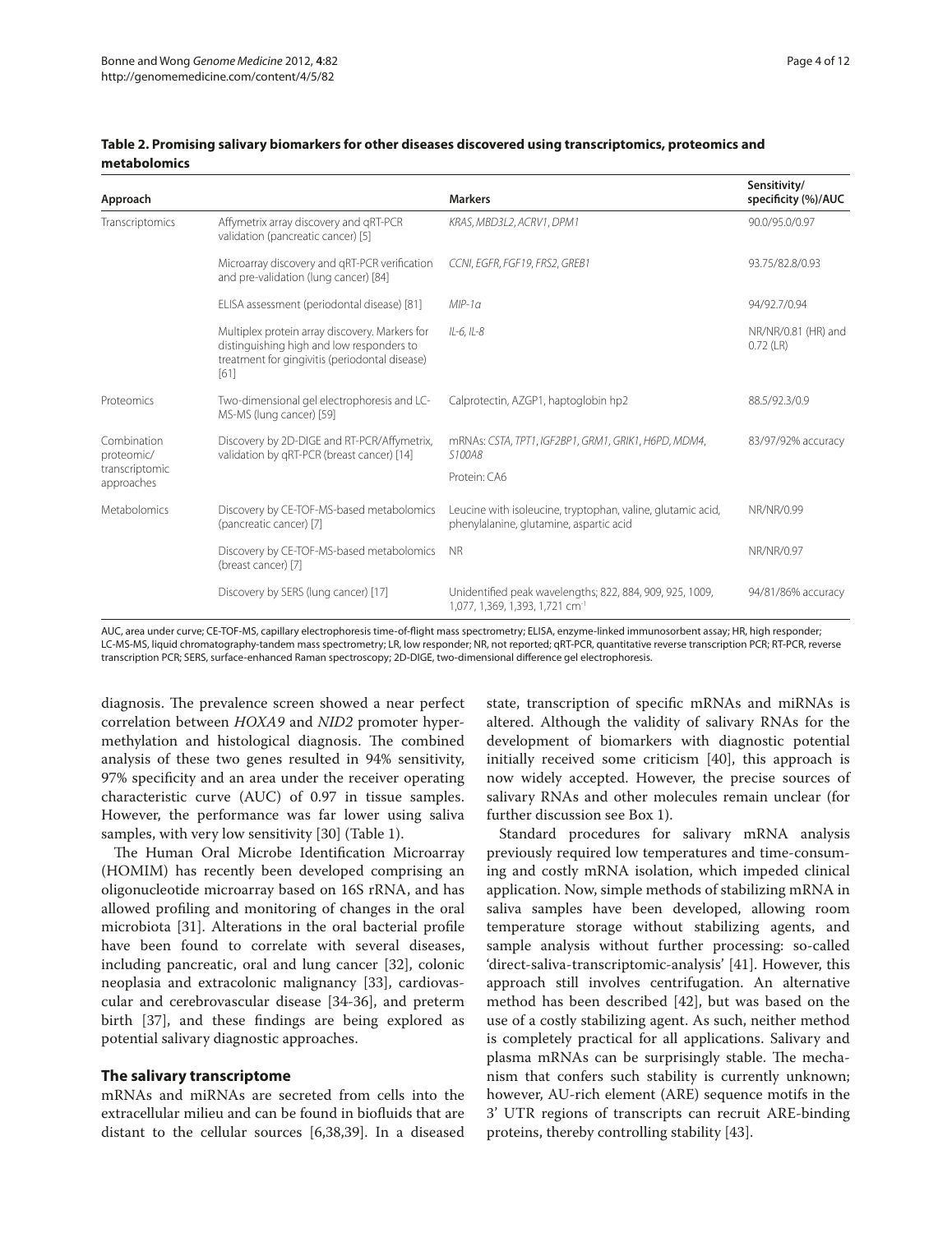| Approach                                                  |                                                                                                                                                       | <b>Markers</b>                                                                                          | Sensitivity/<br>specificity (%)/AUC |
|-----------------------------------------------------------|-------------------------------------------------------------------------------------------------------------------------------------------------------|---------------------------------------------------------------------------------------------------------|-------------------------------------|
| Transcriptomics                                           | Affymetrix array discovery and gRT-PCR<br>validation (pancreatic cancer) [5]                                                                          | KRAS, MBD3L2, ACRV1, DPM1                                                                               | 90.0/95.0/0.97                      |
|                                                           | Microarray discovery and qRT-PCR verification<br>and pre-validation (lung cancer) [84]                                                                | CCNI, EGFR, FGF19, FRS2, GREB1                                                                          | 93.75/82.8/0.93                     |
|                                                           | ELISA assessment (periodontal disease) [81]                                                                                                           | $MIP-1a$                                                                                                | 94/92.7/0.94                        |
|                                                           | Multiplex protein array discovery. Markers for<br>distinguishing high and low responders to<br>treatment for gingivitis (periodontal disease)<br>[61] | IL-6, IL-8                                                                                              | NR/NR/0.81 (HR) and<br>$0.72$ (LR)  |
| Proteomics                                                | Two-dimensional gel electrophoresis and LC-<br>MS-MS (lung cancer) [59]                                                                               | Calprotectin, AZGP1, haptoglobin hp2                                                                    | 88.5/92.3/0.9                       |
| Combination<br>proteomic/<br>transcriptomic<br>approaches | Discovery by 2D-DIGE and RT-PCR/Affymetrix,<br>validation by qRT-PCR (breast cancer) [14]                                                             | mRNAs: CSTA, TPT1, IGF2BP1, GRM1, GRIK1, H6PD, MDM4,<br>S100A8                                          | 83/97/92% accuracy                  |
|                                                           |                                                                                                                                                       | Protein: CA6                                                                                            |                                     |
| Metabolomics                                              | Discovery by CE-TOF-MS-based metabolomics<br>(pancreatic cancer) [7]                                                                                  | Leucine with isoleucine, tryptophan, valine, glutamic acid,<br>phenylalanine, glutamine, aspartic acid  | NR/NR/0.99                          |
|                                                           | Discovery by CE-TOF-MS-based metabolomics<br>(breast cancer) [7]                                                                                      | <b>NR</b>                                                                                               | NR/NR/0.97                          |
|                                                           | Discovery by SERS (lung cancer) [17]                                                                                                                  | Unidentified peak wavelengths; 822, 884, 909, 925, 1009,<br>1,077, 1,369, 1,393, 1,721 cm <sup>-1</sup> | 94/81/86% accuracy                  |

#### **Table 2. Promising salivary biomarkers for other diseases discovered using transcriptomics, proteomics and metabolomics**

AUC, area under curve; CE-TOF-MS, capillary electrophoresis time-of-flight mass spectrometry; ELISA, enzyme-linked immunosorbent assay; HR, high responder; LC-MS-MS, liquid chromatography-tandem mass spectrometry; LR, low responder; NR, not reported; qRT-PCR, quantitative reverse transcription PCR; RT-PCR, reverse transcription PCR; SERS, surface-enhanced Raman spectroscopy; 2D-DIGE, two-dimensional difference gel electrophoresis.

diagnosis. The prevalence screen showed a near perfect correlation between *HOXA9* and *NID2* promoter hypermethylation and histological diagnosis. The combined analysis of these two genes resulted in 94% sensitivity, 97% specificity and an area under the receiver operating characteristic curve (AUC) of 0.97 in tissue samples. However, the performance was far lower using saliva samples, with very low sensitivity [30] (Table 1).

The Human Oral Microbe Identification Microarray (HOMIM) has recently been developed comprising an oligonucleotide microarray based on 16S rRNA, and has allowed profiling and monitoring of changes in the oral microbiota [31]. Alterations in the oral bacterial profile have been found to correlate with several diseases, including pancreatic, oral and lung cancer [32], colonic neoplasia and extracolonic malignancy [33], cardiovascular and cerebrovascular disease [34-36], and preterm birth [37], and these findings are being explored as potential salivary diagnostic approaches.

# **The salivary transcriptome**

mRNAs and miRNAs are secreted from cells into the extracellular milieu and can be found in biofluids that are distant to the cellular sources [6,38,39]. In a diseased state, transcription of specific mRNAs and miRNAs is altered. Although the validity of salivary RNAs for the development of biomarkers with diagnostic potential initially received some criticism [40], this approach is now widely accepted. However, the precise sources of salivary RNAs and other molecules remain unclear (for further discussion see Box 1).

Standard procedures for salivary mRNA analysis previously required low temperatures and time-consuming and costly mRNA isolation, which impeded clinical application. Now, simple methods of stabilizing mRNA in saliva samples have been developed, allowing room temperature storage without stabilizing agents, and sample analysis without further processing: so-called 'direct-saliva-transcriptomic-analysis' [41]. However, this approach still involves centrifugation. An alternative method has been described [42], but was based on the use of a costly stabilizing agent. As such, neither method is completely practical for all applications. Salivary and plasma mRNAs can be surprisingly stable. The mechanism that confers such stability is currently unknown; however, AU-rich element (ARE) sequence motifs in the 3' UTR regions of transcripts can recruit ARE-binding proteins, thereby controlling stability [43].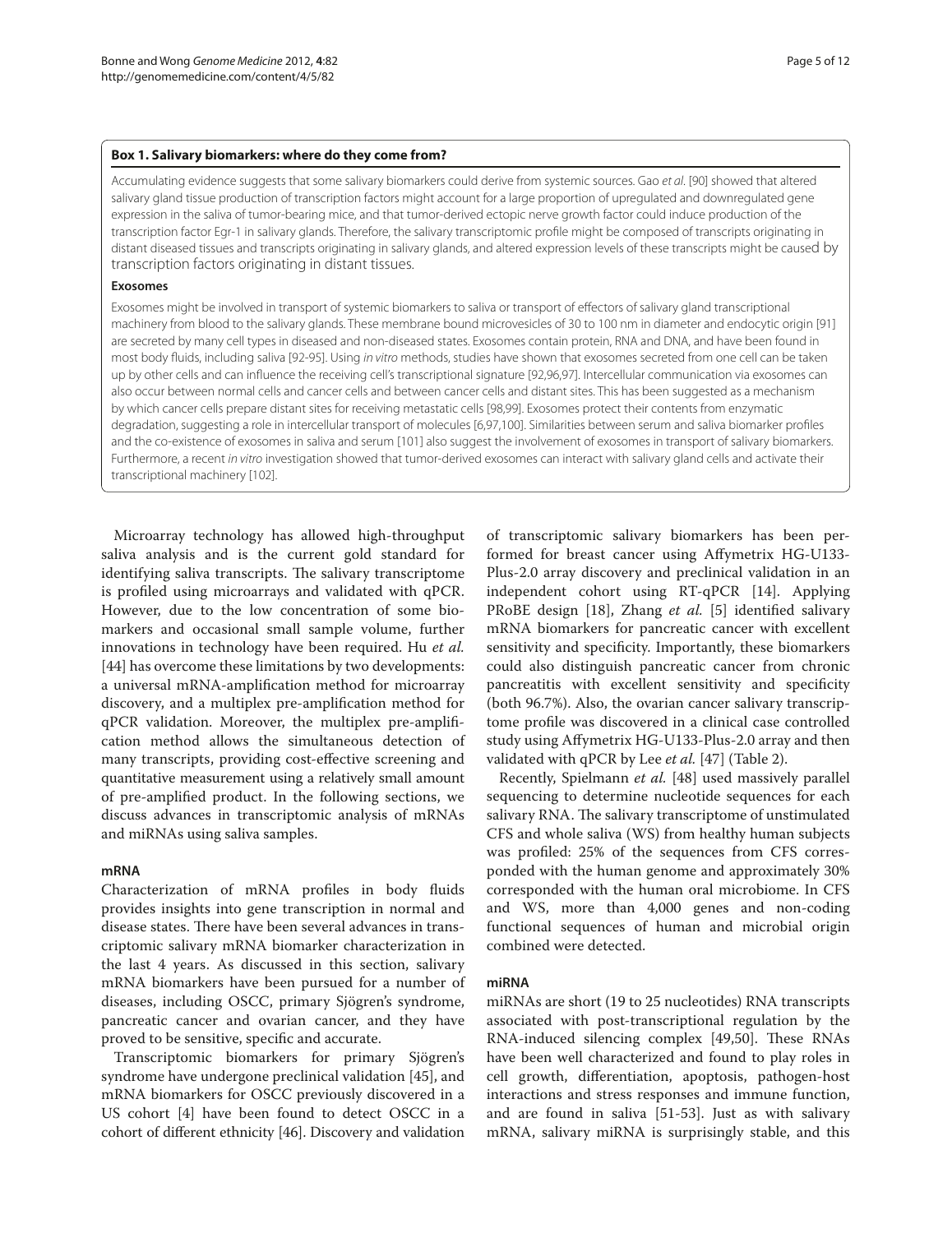#### **Box 1. Salivary biomarkers: where do they come from?**

Accumulating evidence suggests that some salivary biomarkers could derive from systemic sources. Gao *et al*. [90] showed that altered salivary gland tissue production of transcription factors might account for a large proportion of upregulated and downregulated gene expression in the saliva of tumor-bearing mice, and that tumor-derived ectopic nerve growth factor could induce production of the transcription factor Egr-1 in salivary glands. Therefore, the salivary transcriptomic profile might be composed of transcripts originating in distant diseased tissues and transcripts originating in salivary glands, and altered expression levels of these transcripts might be caused by transcription factors originating in distant tissues.

#### **Exosomes**

Exosomes might be involved in transport of systemic biomarkers to saliva or transport of effectors of salivary gland transcriptional machinery from blood to the salivary glands. These membrane bound microvesicles of 30 to 100 nm in diameter and endocytic origin [91] are secreted by many cell types in diseased and non-diseased states. Exosomes contain protein, RNA and DNA, and have been found in most body fluids, including saliva [92-95]. Using *in vitro* methods, studies have shown that exosomes secreted from one cell can be taken up by other cells and can influence the receiving cell's transcriptional signature [92,96,97]. Intercellular communication via exosomes can also occur between normal cells and cancer cells and between cancer cells and distant sites. This has been suggested as a mechanism by which cancer cells prepare distant sites for receiving metastatic cells [98,99]. Exosomes protect their contents from enzymatic degradation, suggesting a role in intercellular transport of molecules [6,97,100]. Similarities between serum and saliva biomarker profiles and the co-existence of exosomes in saliva and serum [101] also suggest the involvement of exosomes in transport of salivary biomarkers. Furthermore, a recent *in vitro* investigation showed that tumor-derived exosomes can interact with salivary gland cells and activate their transcriptional machinery [102].

Microarray technology has allowed high-throughput saliva analysis and is the current gold standard for identifying saliva transcripts. The salivary transcriptome is profiled using microarrays and validated with qPCR. However, due to the low concentration of some biomarkers and occasional small sample volume, further innovations in technology have been required. Hu *et al.* [44] has overcome these limitations by two developments: a universal mRNA-amplification method for microarray discovery, and a multiplex pre-amplification method for qPCR validation. Moreover, the multiplex pre-amplification method allows the simultaneous detection of many transcripts, providing cost-effective screening and quantitative measurement using a relatively small amount of pre-amplified product. In the following sections, we discuss advances in transcriptomic analysis of mRNAs and miRNAs using saliva samples.

#### **mRNA**

Characterization of mRNA profiles in body fluids provides insights into gene transcription in normal and disease states. There have been several advances in transcriptomic salivary mRNA biomarker characterization in the last 4 years. As discussed in this section, salivary mRNA biomarkers have been pursued for a number of diseases, including OSCC, primary Sjögren's syndrome, pancreatic cancer and ovarian cancer, and they have proved to be sensitive, specific and accurate.

Transcriptomic biomarkers for primary Sjögren's syndrome have undergone preclinical validation [45], and mRNA biomarkers for OSCC previously discovered in a US cohort [4] have been found to detect OSCC in a cohort of different ethnicity [46]. Discovery and validation of transcriptomic salivary biomarkers has been per‑ formed for breast cancer using Affymetrix HG-U133-Plus-2.0 array discovery and preclinical validation in an independent cohort using RT-qPCR [14]. Applying PRoBE design [18], Zhang *et al.* [5] identified salivary mRNA biomarkers for pancreatic cancer with excellent sensitivity and specificity. Importantly, these biomarkers could also distinguish pancreatic cancer from chronic pancreatitis with excellent sensitivity and specificity (both 96.7%). Also, the ovarian cancer salivary transcriptome profile was discovered in a clinical case controlled study using Affymetrix HG-U133-Plus-2.0 array and then validated with qPCR by Lee *et al.* [47] (Table 2).

Recently, Spielmann *et al.* [48] used massively parallel sequencing to determine nucleotide sequences for each salivary RNA. The salivary transcriptome of unstimulated CFS and whole saliva (WS) from healthy human subjects was profiled: 25% of the sequences from CFS corresponded with the human genome and approximately 30% corresponded with the human oral microbiome. In CFS and WS, more than 4,000 genes and non-coding functional sequences of human and microbial origin combined were detected.

#### **miRNA**

miRNAs are short (19 to 25 nucleotides) RNA transcripts associated with post-transcriptional regulation by the RNA-induced silencing complex [49,50]. These RNAs have been well characterized and found to play roles in cell growth, differentiation, apoptosis, pathogen-host interactions and stress responses and immune function, and are found in saliva [51-53]. Just as with salivary mRNA, salivary miRNA is surprisingly stable, and this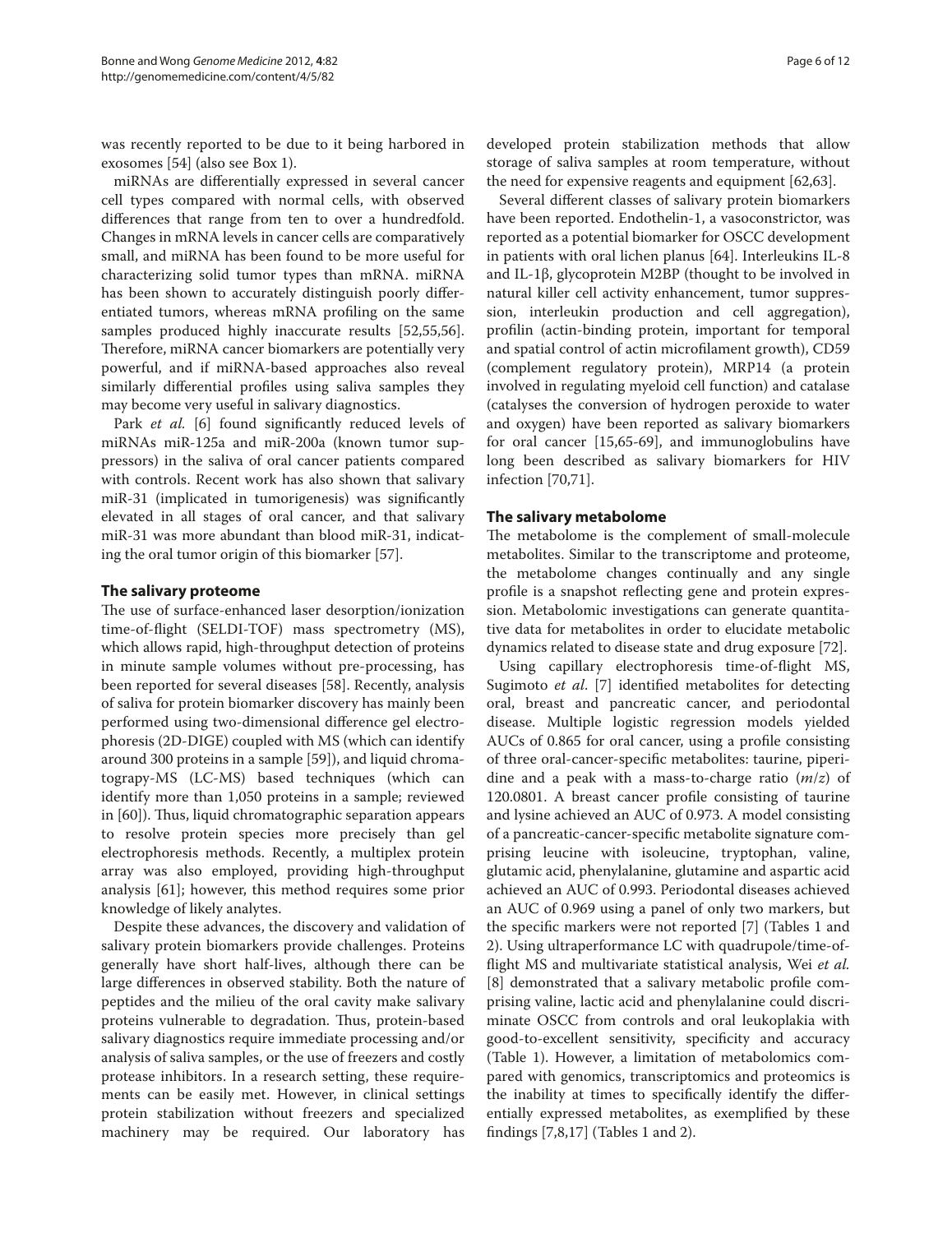was recently reported to be due to it being harbored in exosomes [54] (also see Box 1).

miRNAs are differentially expressed in several cancer cell types compared with normal cells, with observed differences that range from ten to over a hundredfold. Changes in mRNA levels in cancer cells are comparatively small, and miRNA has been found to be more useful for characterizing solid tumor types than mRNA. miRNA has been shown to accurately distinguish poorly differentiated tumors, whereas mRNA profiling on the same samples produced highly inaccurate results [52,55,56]. Therefore, miRNA cancer biomarkers are potentially very powerful, and if miRNA-based approaches also reveal similarly differential profiles using saliva samples they may become very useful in salivary diagnostics.

Park *et al.* [6] found significantly reduced levels of miRNAs miR-125a and miR-200a (known tumor suppressors) in the saliva of oral cancer patients compared with controls. Recent work has also shown that salivary miR-31 (implicated in tumorigenesis) was significantly elevated in all stages of oral cancer, and that salivary miR-31 was more abundant than blood miR-31, indicating the oral tumor origin of this biomarker [57].

# **The salivary proteome**

The use of surface-enhanced laser desorption/ionization time-of-flight (SELDI-TOF) mass spectrometry (MS), which allows rapid, high-throughput detection of proteins in minute sample volumes without pre-processing, has been reported for several diseases [58]. Recently, analysis of saliva for protein biomarker discovery has mainly been performed using two-dimensional difference gel electrophoresis (2D-DIGE) coupled with MS (which can identify around 300 proteins in a sample [59]), and liquid chromatograpy-MS (LC-MS) based techniques (which can identify more than 1,050 proteins in a sample; reviewed in [60]). Thus, liquid chromatographic separation appears to resolve protein species more precisely than gel electrophoresis methods. Recently, a multiplex protein array was also employed, providing high-throughput analysis [61]; however, this method requires some prior knowledge of likely analytes.

Despite these advances, the discovery and validation of salivary protein biomarkers provide challenges. Proteins generally have short half-lives, although there can be large differences in observed stability. Both the nature of peptides and the milieu of the oral cavity make salivary proteins vulnerable to degradation. Thus, protein-based salivary diagnostics require immediate processing and/or analysis of saliva samples, or the use of freezers and costly protease inhibitors. In a research setting, these requirements can be easily met. However, in clinical settings protein stabilization without freezers and specialized machinery may be required. Our laboratory has developed protein stabilization methods that allow storage of saliva samples at room temperature, without the need for expensive reagents and equipment [62,63].

Several different classes of salivary protein biomarkers have been reported. Endothelin-1, a vasoconstrictor, was reported as a potential biomarker for OSCC development in patients with oral lichen planus [64]. Interleukins IL-8 and IL-1β, glycoprotein M2BP (thought to be involved in natural killer cell activity enhancement, tumor suppression, interleukin production and cell aggregation), profilin (actin-binding protein, important for temporal and spatial control of actin microfilament growth), CD59 (complement regulatory protein), MRP14 (a protein involved in regulating myeloid cell function) and catalase (catalyses the conversion of hydrogen peroxide to water and oxygen) have been reported as salivary biomarkers for oral cancer [15,65-69], and immunoglobulins have long been described as salivary biomarkers for HIV infection [70,71].

#### **The salivary metabolome**

The metabolome is the complement of small-molecule metabolites. Similar to the transcriptome and proteome, the metabolome changes continually and any single profile is a snapshot reflecting gene and protein expression. Metabolomic investigations can generate quantitative data for metabolites in order to elucidate metabolic dynamics related to disease state and drug exposure [72].

Using capillary electrophoresis time-of-flight MS, Sugimoto *et al*. [7] identified metabolites for detecting oral, breast and pancreatic cancer, and periodontal disease. Multiple logistic regression models yielded AUCs of 0.865 for oral cancer, using a profile consisting of three oral-cancer-specific metabolites: taurine, piperidine and a peak with a mass-to-charge ratio (*m*/*z*) of 120.0801. A breast cancer profile consisting of taurine and lysine achieved an AUC of 0.973. A model consisting of a pancreatic-cancer-specific metabolite signature com‑ prising leucine with isoleucine, tryptophan, valine, glutamic acid, phenylalanine, glutamine and aspartic acid achieved an AUC of 0.993. Periodontal diseases achieved an AUC of 0.969 using a panel of only two markers, but the specific markers were not reported [7] (Tables 1 and 2). Using ultraperformance LC with quadrupole/time-offlight MS and multivariate statistical analysis, Wei *et al.* [8] demonstrated that a salivary metabolic profile comprising valine, lactic acid and phenylalanine could discriminate OSCC from controls and oral leukoplakia with good-to-excellent sensitivity, specificity and accuracy (Table 1). However, a limitation of metabolomics compared with genomics, transcriptomics and proteomics is the inability at times to specifically identify the differentially expressed metabolites, as exemplified by these findings [7,8,17] (Tables 1 and 2).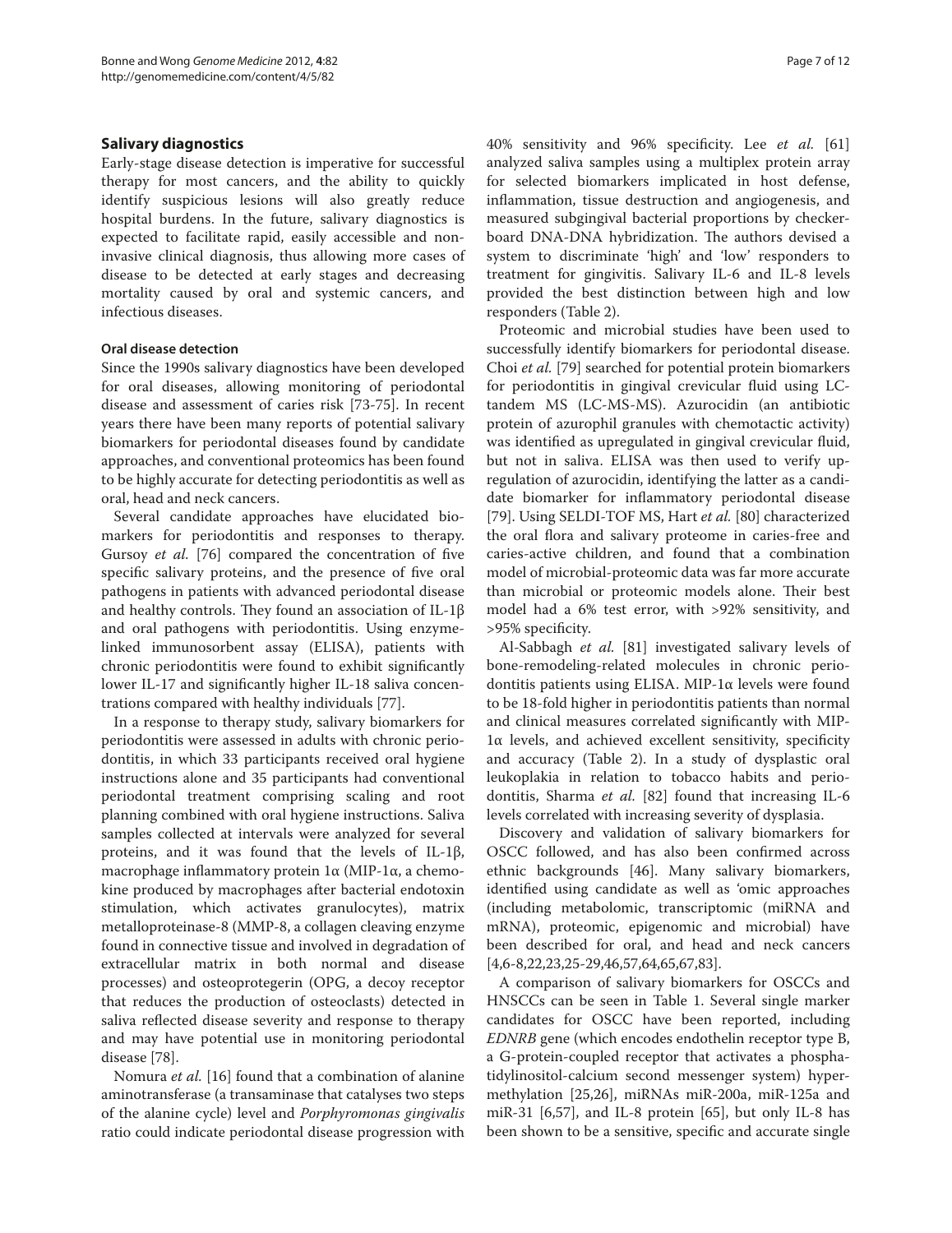# **Salivary diagnostics**

Early-stage disease detection is imperative for successful therapy for most cancers, and the ability to quickly identify suspicious lesions will also greatly reduce hospital burdens. In the future, salivary diagnostics is expected to facilitate rapid, easily accessible and noninvasive clinical diagnosis, thus allowing more cases of disease to be detected at early stages and decreasing mortality caused by oral and systemic cancers, and infectious diseases.

### **Oral disease detection**

Since the 1990s salivary diagnostics have been developed for oral diseases, allowing monitoring of periodontal disease and assessment of caries risk [73-75]. In recent years there have been many reports of potential salivary biomarkers for periodontal diseases found by candidate approaches, and conventional proteomics has been found to be highly accurate for detecting periodontitis as well as oral, head and neck cancers.

Several candidate approaches have elucidated biomarkers for periodontitis and responses to therapy. Gursoy *et al.* [76] compared the concentration of five specific salivary proteins, and the presence of five oral pathogens in patients with advanced periodontal disease and healthy controls. They found an association of IL-1β and oral pathogens with periodontitis. Using enzymelinked immunosorbent assay (ELISA), patients with chronic periodontitis were found to exhibit significantly lower IL-17 and significantly higher IL-18 saliva concentrations compared with healthy individuals [77].

In a response to therapy study, salivary biomarkers for periodontitis were assessed in adults with chronic periodontitis, in which 33 participants received oral hygiene instructions alone and 35 participants had conventional periodontal treatment comprising scaling and root planning combined with oral hygiene instructions. Saliva samples collected at intervals were analyzed for several proteins, and it was found that the levels of IL-1β, macrophage inflammatory protein  $1α$  (MIP- $1α$ , a chemokine produced by macrophages after bacterial endotoxin stimulation, which activates granulocytes), matrix metalloproteinase-8 (MMP-8, a collagen cleaving enzyme found in connective tissue and involved in degradation of extracellular matrix in both normal and disease processes) and osteoprotegerin (OPG, a decoy receptor that reduces the production of osteoclasts) detected in saliva reflected disease severity and response to therapy and may have potential use in monitoring periodontal disease [78].

Nomura *et al.* [16] found that a combination of alanine aminotransferase (a transaminase that catalyses two steps of the alanine cycle) level and *Porphyromonas gingivalis* ratio could indicate periodontal disease progression with 40% sensitivity and 96% specificity. Lee *et al.* [61] analyzed saliva samples using a multiplex protein array for selected biomarkers implicated in host defense, inflammation, tissue destruction and angiogenesis, and measured subgingival bacterial proportions by checkerboard DNA-DNA hybridization. The authors devised a system to discriminate 'high' and 'low' responders to treatment for gingivitis. Salivary IL-6 and IL-8 levels provided the best distinction between high and low responders (Table 2).

Proteomic and microbial studies have been used to successfully identify biomarkers for periodontal disease. Choi *et al.* [79] searched for potential protein biomarkers for periodontitis in gingival crevicular fluid using LCtandem MS (LC-MS-MS). Azurocidin (an antibiotic protein of azurophil granules with chemotactic activity) was identified as upregulated in gingival crevicular fluid, but not in saliva. ELISA was then used to verify upregulation of azurocidin, identifying the latter as a candidate biomarker for inflammatory periodontal disease [79]. Using SELDI-TOF MS, Hart *et al.* [80] characterized the oral flora and salivary proteome in caries-free and caries-active children, and found that a combination model of microbial-proteomic data was far more accurate than microbial or proteomic models alone. Their best model had a 6% test error, with >92% sensitivity, and >95% specificity.

Al-Sabbagh *et al.* [81] investigated salivary levels of bone-remodeling-related molecules in chronic periodontitis patients using ELISA. MIP-1α levels were found to be 18-fold higher in periodontitis patients than normal and clinical measures correlated significantly with MIP-1α levels, and achieved excellent sensitivity, specificity and accuracy (Table 2). In a study of dysplastic oral leukoplakia in relation to tobacco habits and periodontitis, Sharma *et al.* [82] found that increasing IL-6 levels correlated with increasing severity of dysplasia.

Discovery and validation of salivary biomarkers for OSCC followed, and has also been confirmed across ethnic backgrounds [46]. Many salivary biomarkers, identified using candidate as well as 'omic approaches (including metabolomic, transcriptomic (miRNA and mRNA), proteomic, epigenomic and microbial) have been described for oral, and head and neck cancers [4,6-8,22,23,25-29,46,57,64,65,67,83].

A comparison of salivary biomarkers for OSCCs and HNSCCs can be seen in Table 1. Several single marker candidates for OSCC have been reported, including *EDNRB* gene (which encodes endothelin receptor type B, a G-protein-coupled receptor that activates a phosphatidylinositol-calcium second messenger system) hyper‑ methylation [25,26], miRNAs miR-200a, miR-125a and miR-31 [6,57], and IL-8 protein [65], but only IL-8 has been shown to be a sensitive, specific and accurate single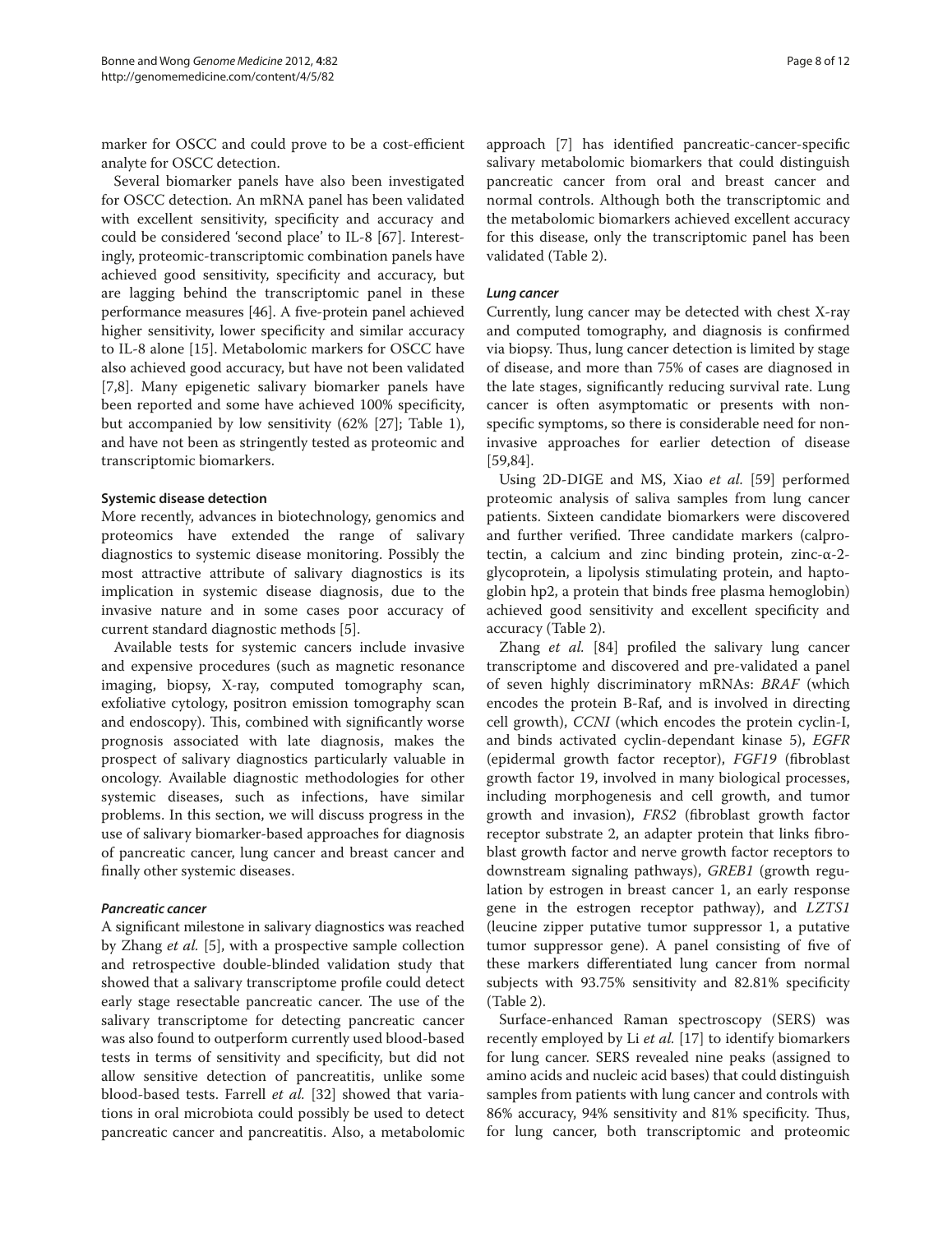marker for OSCC and could prove to be a cost-efficient analyte for OSCC detection.

Several biomarker panels have also been investigated for OSCC detection. An mRNA panel has been validated with excellent sensitivity, specificity and accuracy and could be considered 'second place' to IL-8 [67]. Interestingly, proteomic-transcriptomic combination panels have achieved good sensitivity, specificity and accuracy, but are lagging behind the transcriptomic panel in these performance measures [46]. A five-protein panel achieved higher sensitivity, lower specificity and similar accuracy to IL-8 alone [15]. Metabolomic markers for OSCC have also achieved good accuracy, but have not been validated [7,8]. Many epigenetic salivary biomarker panels have been reported and some have achieved 100% specificity, but accompanied by low sensitivity (62% [27]; Table 1), and have not been as stringently tested as proteomic and transcriptomic biomarkers.

#### **Systemic disease detection**

More recently, advances in biotechnology, genomics and proteomics have extended the range of salivary diagnostics to systemic disease monitoring. Possibly the most attractive attribute of salivary diagnostics is its implication in systemic disease diagnosis, due to the invasive nature and in some cases poor accuracy of current standard diagnostic methods [5].

Available tests for systemic cancers include invasive and expensive procedures (such as magnetic resonance imaging, biopsy, X-ray, computed tomography scan, exfoliative cytology, positron emission tomography scan and endoscopy). This, combined with significantly worse prognosis associated with late diagnosis, makes the prospect of salivary diagnostics particularly valuable in oncology. Available diagnostic methodologies for other systemic diseases, such as infections, have similar problems. In this section, we will discuss progress in the use of salivary biomarker-based approaches for diagnosis of pancreatic cancer, lung cancer and breast cancer and finally other systemic diseases.

# *Pancreatic cancer*

A significant milestone in salivary diagnostics was reached by Zhang *et al.* [5], with a prospective sample collection and retrospective double-blinded validation study that showed that a salivary transcriptome profile could detect early stage resectable pancreatic cancer. The use of the salivary transcriptome for detecting pancreatic cancer was also found to outperform currently used blood-based tests in terms of sensitivity and specificity, but did not allow sensitive detection of pancreatitis, unlike some blood-based tests. Farrell *et al.* [32] showed that variations in oral microbiota could possibly be used to detect pancreatic cancer and pancreatitis. Also, a metabolomic approach [7] has identified pancreatic-cancer-specific salivary metabolomic biomarkers that could distinguish pancreatic cancer from oral and breast cancer and normal controls. Although both the transcriptomic and the metabolomic biomarkers achieved excellent accuracy for this disease, only the transcriptomic panel has been validated (Table 2).

#### *Lung cancer*

Currently, lung cancer may be detected with chest X-ray and computed tomography, and diagnosis is confirmed via biopsy. Thus, lung cancer detection is limited by stage of disease, and more than 75% of cases are diagnosed in the late stages, significantly reducing survival rate. Lung cancer is often asymptomatic or presents with nonspecific symptoms, so there is considerable need for noninvasive approaches for earlier detection of disease [59,84].

Using 2D-DIGE and MS, Xiao *et al.* [59] performed proteomic analysis of saliva samples from lung cancer patients. Sixteen candidate biomarkers were discovered and further verified. Three candidate markers (calprotectin, a calcium and zinc binding protein, zinc-α-2glycoprotein, a lipolysis stimulating protein, and haptoglobin hp2, a protein that binds free plasma hemoglobin) achieved good sensitivity and excellent specificity and accuracy (Table 2).

Zhang *et al.* [84] profiled the salivary lung cancer transcriptome and discovered and pre-validated a panel of seven highly discriminatory mRNAs: *BRAF* (which encodes the protein B-Raf, and is involved in directing cell growth), *CCNI* (which encodes the protein cyclin-I, and binds activated cyclin-dependant kinase 5), *EGFR*  (epidermal growth factor receptor), *FGF19* (fibroblast growth factor 19, involved in many biological processes, including morphogenesis and cell growth, and tumor growth and invasion), *FRS2* (fibroblast growth factor receptor substrate 2, an adapter protein that links fibroblast growth factor and nerve growth factor receptors to downstream signaling pathways), *GREB1* (growth regulation by estrogen in breast cancer 1, an early response gene in the estrogen receptor pathway), and *LZTS1*  (leucine zipper putative tumor suppressor 1, a putative tumor suppressor gene). A panel consisting of five of these markers differentiated lung cancer from normal subjects with 93.75% sensitivity and 82.81% specificity (Table 2).

Surface-enhanced Raman spectroscopy (SERS) was recently employed by Li *et al.* [17] to identify biomarkers for lung cancer. SERS revealed nine peaks (assigned to amino acids and nucleic acid bases) that could distinguish samples from patients with lung cancer and controls with 86% accuracy, 94% sensitivity and 81% specificity. Thus, for lung cancer, both transcriptomic and proteomic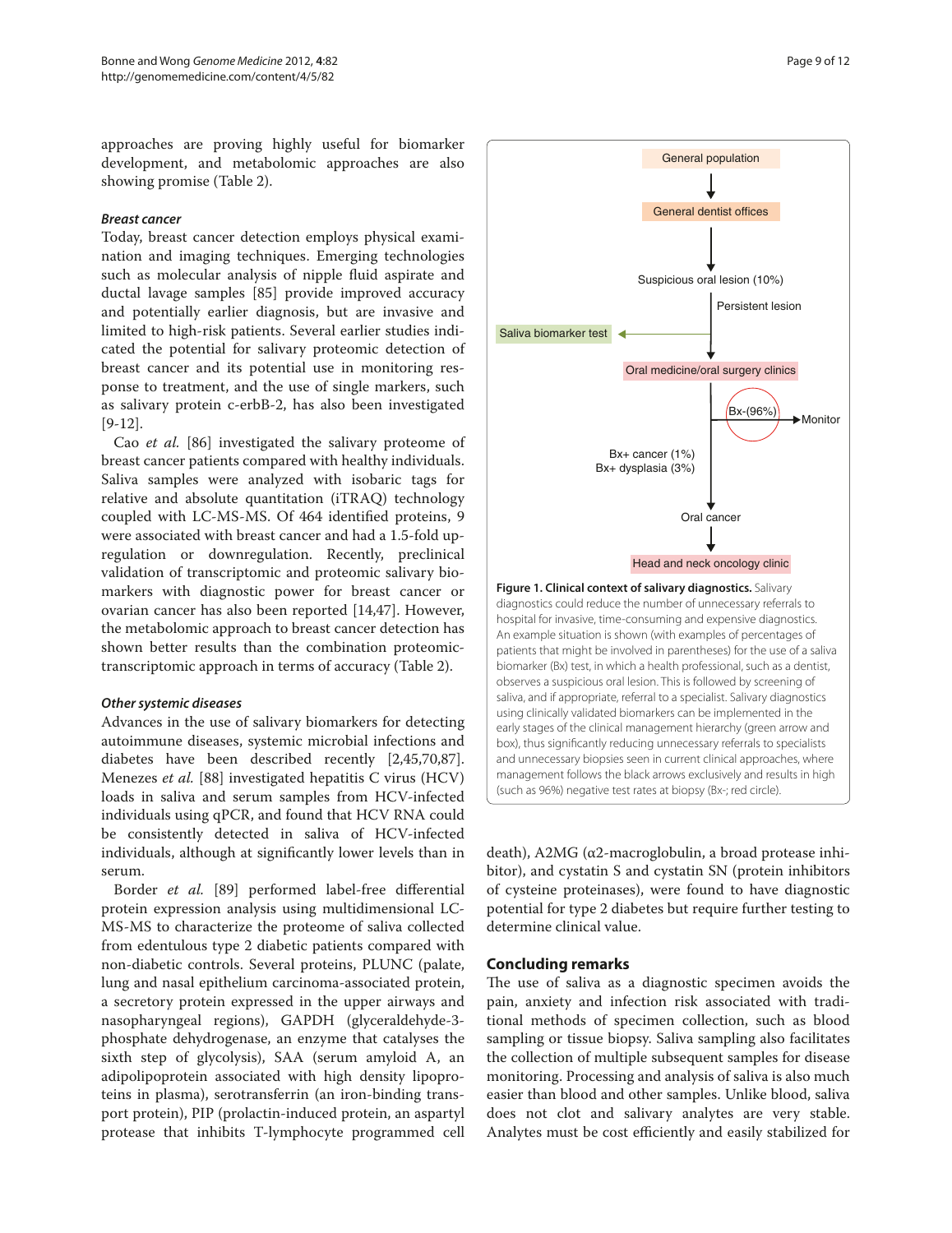approaches are proving highly useful for biomarker development, and metabolomic approaches are also showing promise (Table 2).

#### *Breast cancer*

Today, breast cancer detection employs physical examination and imaging techniques. Emerging technologies such as molecular analysis of nipple fluid aspirate and ductal lavage samples [85] provide improved accuracy and potentially earlier diagnosis, but are invasive and limited to high-risk patients. Several earlier studies indicated the potential for salivary proteomic detection of breast cancer and its potential use in monitoring response to treatment, and the use of single markers, such as salivary protein c-erbB-2, has also been investigated [9-12].

Cao *et al.* [86] investigated the salivary proteome of breast cancer patients compared with healthy individuals. Saliva samples were analyzed with isobaric tags for relative and absolute quantitation (iTRAQ) technology coupled with LC-MS-MS. Of 464 identified proteins, 9 were associated with breast cancer and had a 1.5-fold upregulation or downregulation. Recently, preclinical validation of transcriptomic and proteomic salivary biomarkers with diagnostic power for breast cancer or ovarian cancer has also been reported [14,47]. However, the metabolomic approach to breast cancer detection has shown better results than the combination proteomictranscriptomic approach in terms of accuracy (Table 2).

#### *Other systemic diseases*

Advances in the use of salivary biomarkers for detecting autoimmune diseases, systemic microbial infections and diabetes have been described recently [2,45,70,87]. Menezes *et al.* [88] investigated hepatitis C virus (HCV) loads in saliva and serum samples from HCV-infected individuals using qPCR, and found that HCV RNA could be consistently detected in saliva of HCV-infected individuals, although at significantly lower levels than in serum.

Border *et al.* [89] performed label-free differential protein expression analysis using multidimensional LC-MS-MS to characterize the proteome of saliva collected from edentulous type 2 diabetic patients compared with non-diabetic controls. Several proteins, PLUNC (palate, lung and nasal epithelium carcinoma-associated protein, a secretory protein expressed in the upper airways and nasopharyngeal regions), GAPDH (glyceraldehyde-3phosphate dehydrogenase, an enzyme that catalyses the sixth step of glycolysis), SAA (serum amyloid A, an adipolipoprotein associated with high density lipoproteins in plasma), serotransferrin (an iron-binding trans‑ port protein), PIP (prolactin-induced protein, an aspartyl protease that inhibits T-lymphocyte programmed cell



General population

death), A2MG ( $α2$ -macroglobulin, a broad protease inhibitor), and cystatin S and cystatin SN (protein inhibitors of cysteine proteinases), were found to have diagnostic potential for type 2 diabetes but require further testing to determine clinical value.

#### **Concluding remarks**

The use of saliva as a diagnostic specimen avoids the pain, anxiety and infection risk associated with traditional methods of specimen collection, such as blood sampling or tissue biopsy. Saliva sampling also facilitates the collection of multiple subsequent samples for disease monitoring. Processing and analysis of saliva is also much easier than blood and other samples. Unlike blood, saliva does not clot and salivary analytes are very stable. Analytes must be cost efficiently and easily stabilized for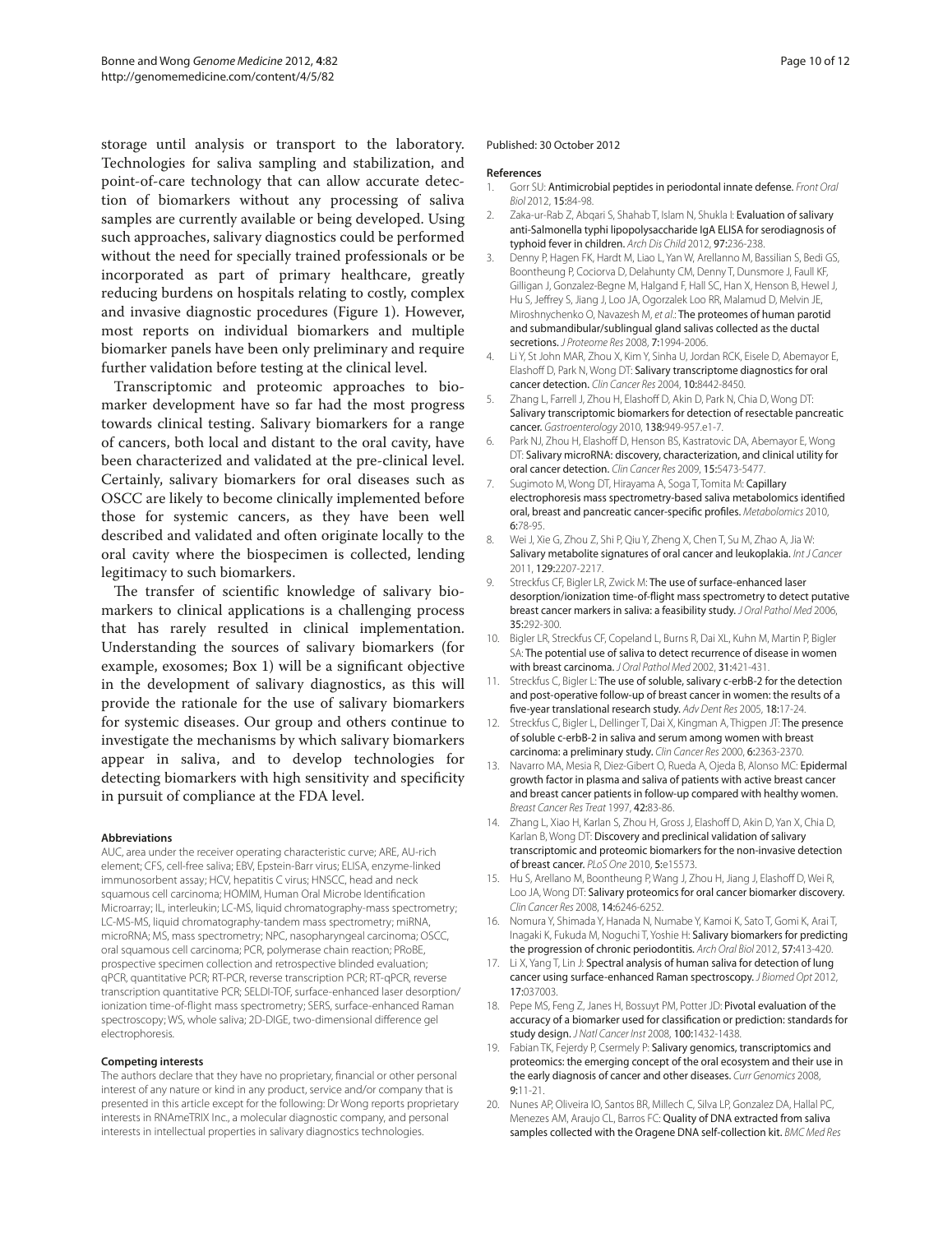storage until analysis or transport to the laboratory. Technologies for saliva sampling and stabilization, and point-of-care technology that can allow accurate detection of biomarkers without any processing of saliva samples are currently available or being developed. Using such approaches, salivary diagnostics could be performed without the need for specially trained professionals or be incorporated as part of primary healthcare, greatly reducing burdens on hospitals relating to costly, complex and invasive diagnostic procedures (Figure 1). However, most reports on individual biomarkers and multiple biomarker panels have been only preliminary and require further validation before testing at the clinical level.

Transcriptomic and proteomic approaches to biomarker development have so far had the most progress towards clinical testing. Salivary biomarkers for a range of cancers, both local and distant to the oral cavity, have been characterized and validated at the pre-clinical level. Certainly, salivary biomarkers for oral diseases such as OSCC are likely to become clinically implemented before those for systemic cancers, as they have been well described and validated and often originate locally to the oral cavity where the biospecimen is collected, lending legitimacy to such biomarkers.

The transfer of scientific knowledge of salivary biomarkers to clinical applications is a challenging process that has rarely resulted in clinical implementation. Understanding the sources of salivary biomarkers (for example, exosomes; Box 1) will be a significant objective in the development of salivary diagnostics, as this will provide the rationale for the use of salivary biomarkers for systemic diseases. Our group and others continue to investigate the mechanisms by which salivary biomarkers appear in saliva, and to develop technologies for detecting biomarkers with high sensitivity and specificity in pursuit of compliance at the FDA level.

#### **Abbreviations**

AUC, area under the receiver operating characteristic curve; ARE, AU-rich element; CFS, cell-free saliva; EBV, Epstein-Barr virus; ELISA, enzyme-linked immunosorbent assay; HCV, hepatitis C virus; HNSCC, head and neck squamous cell carcinoma; HOMIM, Human Oral Microbe Identification Microarray; IL, interleukin; LC-MS, liquid chromatography-mass spectrometry; LC-MS-MS, liquid chromatography-tandem mass spectrometry; miRNA, microRNA; MS, mass spectrometry; NPC, nasopharyngeal carcinoma; OSCC, oral squamous cell carcinoma; PCR, polymerase chain reaction; PRoBE, prospective specimen collection and retrospective blinded evaluation; qPCR, quantitative PCR; RT-PCR, reverse transcription PCR; RT-qPCR, reverse transcription quantitative PCR; SELDI-TOF, surface-enhanced laser desorption/ ionization time-of-flight mass spectrometry; SERS, surface-enhanced Raman spectroscopy; WS, whole saliva; 2D-DIGE, two-dimensional difference gel electrophoresis.

#### **Competing interests**

The authors declare that they have no proprietary, financial or other personal interest of any nature or kind in any product, service and/or company that is presented in this article except for the following: Dr Wong reports proprietary interests in RNAmeTRIX Inc., a molecular diagnostic company, and personal interests in intellectual properties in salivary diagnostics technologies.

#### Published: 30 October 2012

#### **References**

- 1. Gorr SU: Antimicrobial peptides in periodontal innate defense. *Front Oral Biol* 2012, 15:84-98.
- 2. Zaka-ur-Rab Z, Abqari S, Shahab T, Islam N, Shukla I: Evaluation of salivarv anti-Salmonella typhi lipopolysaccharide IgA ELISA for serodiagnosis of typhoid fever in children. *Arch Dis Child* 2012, 97:236-238.
- 3. Denny P, Hagen FK, Hardt M, Liao L, Yan W, Arellanno M, Bassilian S, Bedi GS, Boontheung P, Cociorva D, Delahunty CM, Denny T, Dunsmore J, Faull KF, Gilligan J, Gonzalez-Begne M, Halgand F, Hall SC, Han X, Henson B, Hewel J, Hu S, Jeffrey S, Jiang J, Loo JA, Ogorzalek Loo RR, Malamud D, Melvin JE, Miroshnychenko O, Navazesh M, *et al*.: The proteomes of human parotid and submandibular/sublingual gland salivas collected as the ductal secretions. *J Proteome Res* 2008, 7:1994-2006.
- Li Y, St John MAR, Zhou X, Kim Y, Sinha U, Jordan RCK, Eisele D, Abemayor E, Elashoff D, Park N, Wong DT: Salivary transcriptome diagnostics for oral cancer detection. *Clin Cancer Res* 2004, 10:8442-8450.
- 5. Zhang L, Farrell J, Zhou H, Elashoff D, Akin D, Park N, Chia D, Wong DT: Salivary transcriptomic biomarkers for detection of resectable pancreatic cancer. *Gastroenterology* 2010, 138:949-957.e1-7.
- 6. Park NJ, Zhou H, Elashoff D, Henson BS, Kastratovic DA, Abemayor E, Wong DT: Salivary microRNA: discovery, characterization, and clinical utility for oral cancer detection. *Clin Cancer Res* 2009, 15:5473-5477.
- 7. Sugimoto M, Wong DT, Hirayama A, Soga T, Tomita M: Capillary electrophoresis mass spectrometry-based saliva metabolomics identified oral, breast and pancreatic cancer-specific profiles. *Metabolomics* 2010, 6:78-95.
- 8. Wei J, Xie G, Zhou Z, Shi P, Qiu Y, Zheng X, Chen T, Su M, Zhao A, Jia W: Salivary metabolite signatures of oral cancer and leukoplakia. *Int J Cancer*  2011, 129:2207-2217.
- Streckfus CF, Bigler LR, Zwick M: The use of surface-enhanced laser desorption/ionization time-of-flight mass spectrometry to detect putative breast cancer markers in saliva: a feasibility study. *J Oral Pathol Med* 2006, 35:292-300.
- 10. Bigler LR, Streckfus CF, Copeland L, Burns R, Dai XL, Kuhn M, Martin P, Bigler SA: The potential use of saliva to detect recurrence of disease in women with breast carcinoma. *J Oral Pathol Med* 2002, 31:421-431.
- 11. Streckfus C, Bigler L: The use of soluble, salivary c-erbB-2 for the detection and post-operative follow-up of breast cancer in women: the results of a five-year translational research study. *Adv Dent Res* 2005, 18:17-24.
- 12. Streckfus C, Bigler L, Dellinger T, Dai X, Kingman A, Thigpen JT: The presence of soluble c-erbB-2 in saliva and serum among women with breast carcinoma: a preliminary study. *Clin Cancer Res* 2000, 6:2363-2370.
- 13. Navarro MA, Mesia R, Diez-Gibert O, Rueda A, Ojeda B, Alonso MC: Epidermal growth factor in plasma and saliva of patients with active breast cancer and breast cancer patients in follow-up compared with healthy women. *Breast Cancer Res Treat* 1997, 42:83-86.
- 14. Zhang L, Xiao H, Karlan S, Zhou H, Gross J, Elashoff D, Akin D, Yan X, Chia D, Karlan B, Wong DT: Discovery and preclinical validation of salivary transcriptomic and proteomic biomarkers for the non-invasive detection of breast cancer. *PLoS One* 2010, 5:e15573.
- 15. Hu S, Arellano M, Boontheung P, Wang J, Zhou H, Jiang J, Elashoff D, Wei R, Loo JA, Wong DT: Salivary proteomics for oral cancer biomarker discovery. *Clin Cancer Res* 2008, 14:6246-6252.
- 16. Nomura Y, Shimada Y, Hanada N, Numabe Y, Kamoi K, Sato T, Gomi K, Arai T, Inagaki K, Fukuda M, Noguchi T, Yoshie H: Salivary biomarkers for predicting the progression of chronic periodontitis. *Arch Oral Biol* 2012, 57:413-420.
- 17. Li X, Yang T, Lin J: Spectral analysis of human saliva for detection of lung cancer using surface-enhanced Raman spectroscopy. *J Biomed Opt* 2012, 17:037003.
- 18. Pepe MS, Feng Z, Janes H, Bossuyt PM, Potter JD: Pivotal evaluation of the accuracy of a biomarker used for classification or prediction: standards for study design. *J Natl Cancer Inst* 2008, 100:1432-1438.
- 19. Fabian TK, Fejerdy P, Csermely P: Salivary genomics, transcriptomics and proteomics: the emerging concept of the oral ecosystem and their use in the early diagnosis of cancer and other diseases. *Curr Genomics* 2008, 9:11-21.
- 20. Nunes AP, Oliveira IO, Santos BR, Millech C, Silva LP, Gonzalez DA, Hallal PC, Menezes AM, Araujo CL, Barros FC: Quality of DNA extracted from saliva samples collected with the Oragene DNA self-collection kit. *BMC Med Res*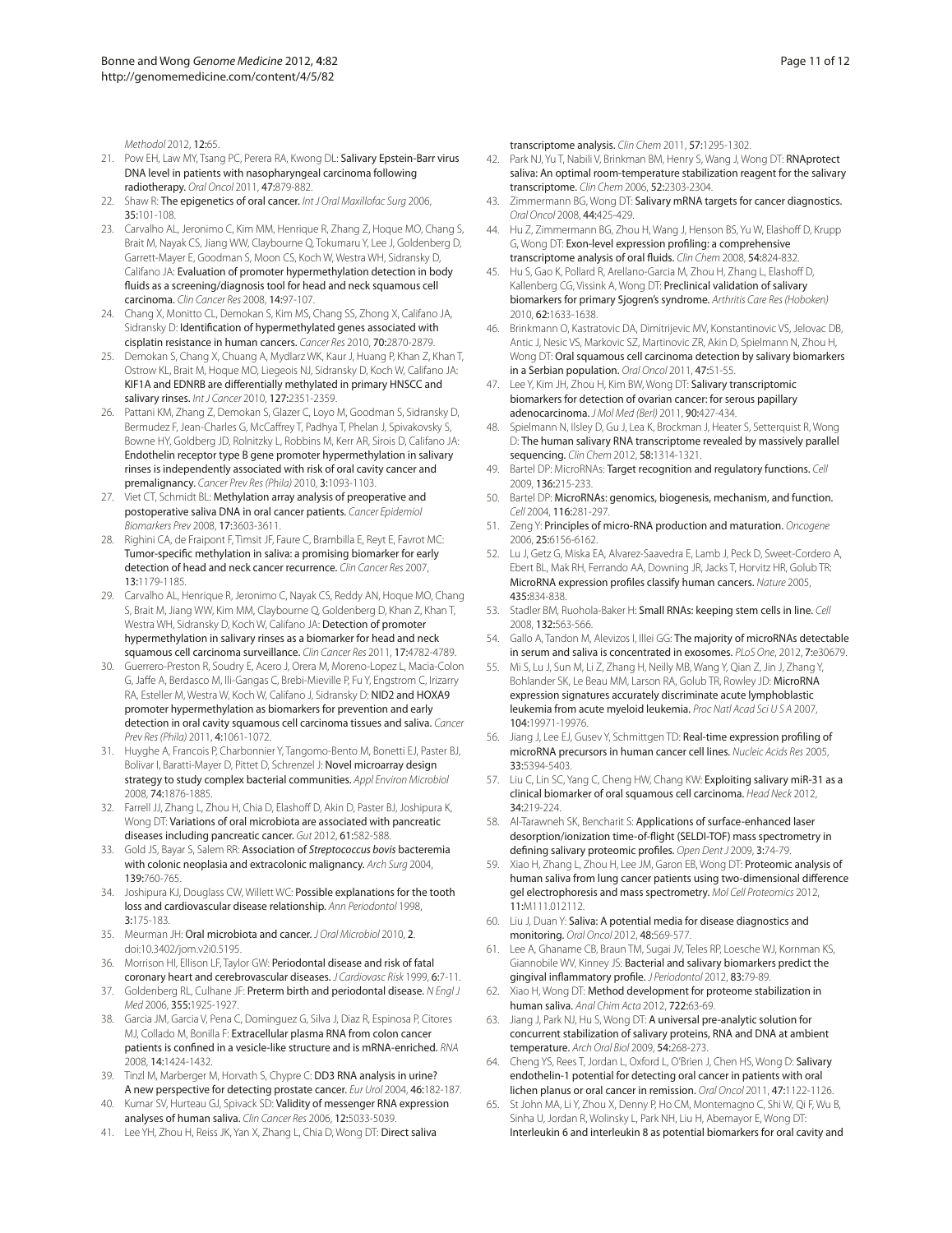*Methodol* 2012, 12:65.

- 21. Pow EH, Law MY, Tsang PC, Perera RA, Kwong DL: Salivary Epstein-Barr virus DNA level in patients with nasopharyngeal carcinoma following radiotherapy. *Oral Oncol* 2011, 47:879-882.
- 22. Shaw R: The epigenetics of oral cancer. *Int J Oral Maxillofac Surg* 2006, 35:101-108.
- 23. Carvalho AL, Jeronimo C, Kim MM, Henrique R, Zhang Z, Hoque MO, Chang S, Brait M, Nayak CS, Jiang WW, Claybourne Q, Tokumaru Y, Lee J, Goldenberg D, Garrett-Mayer E, Goodman S, Moon CS, Koch W, Westra WH, Sidransky D, Califano JA: Evaluation of promoter hypermethylation detection in body fluids as a screening/diagnosis tool for head and neck squamous cell carcinoma. *Clin Cancer Res* 2008, 14:97-107.
- 24. Chang X, Monitto CL, Demokan S, Kim MS, Chang SS, Zhong X, Califano JA, Sidransky D: Identification of hypermethylated genes associated with cisplatin resistance in human cancers. *Cancer Res* 2010, 70:2870-2879.
- 25. Demokan S, Chang X, Chuang A, Mydlarz WK, Kaur J, Huang P, Khan Z, Khan T, Ostrow KL, Brait M, Hoque MO, Liegeois NJ, Sidransky D, Koch W, Califano JA: KIF1A and EDNRB are differentially methylated in primary HNSCC and salivary rinses. *Int J Cancer* 2010, 127:2351-2359.
- 26. Pattani KM, Zhang Z, Demokan S, Glazer C, Loyo M, Goodman S, Sidransky D, Bermudez F, Jean-Charles G, McCaffrey T, Padhya T, Phelan J, Spivakovsky S, Bowne HY, Goldberg JD, Rolnitzky L, Robbins M, Kerr AR, Sirois D, Califano JA: Endothelin receptor type B gene promoter hypermethylation in salivary rinses is independently associated with risk of oral cavity cancer and premalignancy. *Cancer Prev Res (Phila)* 2010, 3:1093-1103.
- 27. Viet CT, Schmidt BL: Methylation array analysis of preoperative and postoperative saliva DNA in oral cancer patients. *Cancer Epidemiol Biomarkers Prev* 2008, 17:3603-3611.
- 28. Righini CA, de Fraipont F, Timsit JF, Faure C, Brambilla E, Reyt E, Favrot MC: Tumor-specific methylation in saliva: a promising biomarker for early detection of head and neck cancer recurrence. *Clin Cancer Res* 2007, 13:1179-1185.
- 29. Carvalho AL, Henrique R, Jeronimo C, Nayak CS, Reddy AN, Hoque MO, Chang S, Brait M, Jiang WW, Kim MM, Claybourne Q, Goldenberg D, Khan Z, Khan T, Westra WH, Sidransky D, Koch W, Califano JA: Detection of promoter hypermethylation in salivary rinses as a biomarker for head and neck squamous cell carcinoma surveillance. *Clin Cancer Res* 2011, 17:4782-4789.
- 30. Guerrero-Preston R, Soudry E, Acero J, Orera M, Moreno-Lopez L, Macia-Colon G, Jaffe A, Berdasco M, Ili-Gangas C, Brebi-Mieville P, Fu Y, Engstrom C, Irizarry RA, Esteller M, Westra W, Koch W, Califano J, Sidransky D: NID2 and HOXA9 promoter hypermethylation as biomarkers for prevention and early detection in oral cavity squamous cell carcinoma tissues and saliva. *Cancer Prev Res (Phila)* 2011, 4:1061-1072.
- 31. Huyghe A, Francois P, Charbonnier Y, Tangomo-Bento M, Bonetti EJ, Paster BJ, Bolivar I, Baratti-Mayer D, Pittet D, Schrenzel J: Novel microarray design strategy to study complex bacterial communities. *Appl Environ Microbiol*  2008, 74:1876-1885.
- 32. Farrell JJ, Zhang L, Zhou H, Chia D, Elashoff D, Akin D, Paster BJ, Joshipura K, Wong DT: Variations of oral microbiota are associated with pancreatic diseases including pancreatic cancer. *Gut* 2012, 61:582-588.
- 33. Gold JS, Bayar S, Salem RR: Association of *Streptococcus bovis* bacteremia with colonic neoplasia and extracolonic malignancy. *Arch Surg* 2004, 139:760-765.
- 34. Joshipura KJ, Douglass CW, Willett WC: Possible explanations for the tooth loss and cardiovascular disease relationship. *Ann Periodontol* 1998, 3:175-183.
- 35. Meurman JH: Oral microbiota and cancer. *J Oral Microbiol* 2010, 2. doi:10.3402/jom.v2i0.5195.
- 36. Morrison HI, Ellison LF, Taylor GW: Periodontal disease and risk of fatal coronary heart and cerebrovascular diseases. *J Cardiovasc Risk* 1999, 6:7-11.
- 37. Goldenberg RL, Culhane JF: Preterm birth and periodontal disease. *N Engl J Med* 2006, 355:1925-1927.
- 38. Garcia JM, Garcia V, Pena C, Dominguez G, Silva J, Diaz R, Espinosa P, Citores MJ, Collado M, Bonilla F: Extracellular plasma RNA from colon cancer patients is confined in a vesicle-like structure and is mRNA-enriched. *RNA*  2008, 14:1424-1432.
- 39. Tinzl M, Marberger M, Horvath S, Chypre C: DD3 RNA analysis in urine? A new perspective for detecting prostate cancer. *Eur Urol* 2004, 46:182-187.
- 40. Kumar SV, Hurteau GJ, Spivack SD: Validity of messenger RNA expression analyses of human saliva. *Clin Cancer Res* 2006, 12:5033-5039.
- 41. Lee YH, Zhou H, Reiss JK, Yan X, Zhang L, Chia D, Wong DT: Direct saliva

transcriptome analysis. *Clin Chem* 2011, 57:1295-1302.

- 42. Park NJ, Yu T, Nabili V, Brinkman BM, Henry S, Wang J, Wong DT: RNAprotect saliva: An optimal room-temperature stabilization reagent for the salivary transcriptome. *Clin Chem* 2006, 52:2303-2304.
- 43. Zimmermann BG, Wong DT: Salivary mRNA targets for cancer diagnostics. *Oral Oncol* 2008, 44:425-429.
- 44. Hu Z, Zimmermann BG, Zhou H, Wang J, Henson BS, Yu W, Elashoff D, Krupp G, Wong DT: Exon-level expression profiling: a comprehensive transcriptome analysis of oral fluids. *Clin Chem* 2008, 54:824-832.
- 45. Hu S, Gao K, Pollard R, Arellano-Garcia M, Zhou H, Zhang L, Elashoff D, Kallenberg CG, Vissink A, Wong DT: Preclinical validation of salivary biomarkers for primary Sjogren's syndrome. *Arthritis Care Res (Hoboken)*  2010, 62:1633-1638.
- 46. Brinkmann O, Kastratovic DA, Dimitrijevic MV, Konstantinovic VS, Jelovac DB, Antic J, Nesic VS, Markovic SZ, Martinovic ZR, Akin D, Spielmann N, Zhou H, Wong DT: Oral squamous cell carcinoma detection by salivary biomarkers in a Serbian population. *Oral Oncol* 2011, 47:51-55.
- 47. Lee Y, Kim JH, Zhou H, Kim BW, Wong DT: Salivary transcriptomic biomarkers for detection of ovarian cancer: for serous papillary adenocarcinoma. *J Mol Med (Berl)* 2011, 90:427-434.
- 48. Spielmann N, Ilsley D, Gu J, Lea K, Brockman J, Heater S, Setterquist R, Wong D: The human salivary RNA transcriptome revealed by massively parallel sequencing. *Clin Chem* 2012, 58:1314-1321.
- 49. Bartel DP: MicroRNAs: Target recognition and regulatory functions. *Cell*  2009, 136:215-233.
- 50. Bartel DP: MicroRNAs: genomics, biogenesis, mechanism, and function. *Cell* 2004, 116:281-297.
- 51. Zeng Y: Principles of micro-RNA production and maturation. *Oncogene*  2006, 25:6156-6162.
- 52. Lu J, Getz G, Miska EA, Alvarez-Saavedra E, Lamb J, Peck D, Sweet-Cordero A, Ebert BL, Mak RH, Ferrando AA, Downing JR, Jacks T, Horvitz HR, Golub TR: MicroRNA expression profiles classify human cancers. *Nature* 2005, 435:834-838.
- 53. Stadler BM, Ruohola-Baker H: Small RNAs: keeping stem cells in line. *Cell*  2008, 132:563-566.
- 54. Gallo A, Tandon M, Alevizos I, Illei GG: The majority of microRNAs detectable in serum and saliva is concentrated in exosomes. *PLoS One*, 2012, 7:e30679.
- 55. Mi S, Lu J, Sun M, Li Z, Zhang H, Neilly MB, Wang Y, Qian Z, Jin J, Zhang Y, Bohlander SK, Le Beau MM, Larson RA, Golub TR, Rowley JD: MicroRNA expression signatures accurately discriminate acute lymphoblastic leukemia from acute myeloid leukemia. *Proc Natl Acad Sci U S A* 2007, 104:19971-19976.
- 56. Jiang J, Lee EJ, Gusev Y, Schmittgen TD: Real-time expression profiling of microRNA precursors in human cancer cell lines. *Nucleic Acids Res* 2005, 33:5394-5403.
- 57. Liu C, Lin SC, Yang C, Cheng HW, Chang KW: Exploiting salivary miR-31 as a clinical biomarker of oral squamous cell carcinoma. *Head Neck* 2012, 34:219-224.
- 58. Al-Tarawneh SK, Bencharit S: Applications of surface-enhanced laser desorption/ionization time-of-flight (SELDI-TOF) mass spectrometry in defining salivary proteomic profiles. *Open Dent J* 2009, 3:74-79.
- 59. Xiao H, Zhang L, Zhou H, Lee JM, Garon EB, Wong DT: Proteomic analysis of human saliva from lung cancer patients using two-dimensional difference gel electrophoresis and mass spectrometry. *Mol Cell Proteomics* 2012, 11:M111.012112.
- 60. Liu J, Duan Y: Saliva: A potential media for disease diagnostics and monitoring. *Oral Oncol* 2012, 48:569-577.
- 61. Lee A, Ghaname CB, Braun TM, Sugai JV, Teles RP, Loesche WJ, Kornman KS, Giannobile WV, Kinney JS: Bacterial and salivary biomarkers predict the gingival inflammatory profile. *J Periodontol* 2012, 83:79-89.
- 62. Xiao H, Wong DT: Method development for proteome stabilization in human saliva. *Anal Chim Acta* 2012, 722:63-69.
- 63. Jiang J, Park NJ, Hu S, Wong DT: A universal pre-analytic solution for concurrent stabilization of salivary proteins, RNA and DNA at ambient temperature. *Arch Oral Biol* 2009, 54:268-273.
- 64. Cheng YS, Rees T, Jordan L, Oxford L, O'Brien J, Chen HS, Wong D: Salivary endothelin-1 potential for detecting oral cancer in patients with oral lichen planus or oral cancer in remission. *Oral Oncol* 2011, 47:1122-1126.
- 65. St John MA, Li Y, Zhou X, Denny P, Ho CM, Montemagno C, Shi W, Qi F, Wu B, Sinha U, Jordan R, Wolinsky L, Park NH, Liu H, Abemayor E, Wong DT: Interleukin 6 and interleukin 8 as potential biomarkers for oral cavity and